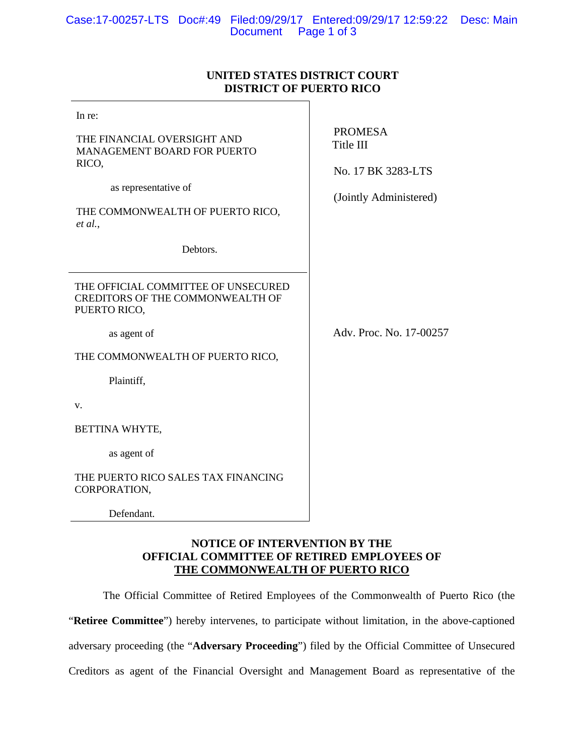## **UNITED STATES DISTRICT COURT DISTRICT OF PUERTO RICO**

| In re:                                                                                         |                                                   |
|------------------------------------------------------------------------------------------------|---------------------------------------------------|
| THE FINANCIAL OVERSIGHT AND<br>MANAGEMENT BOARD FOR PUERTO<br>RICO,                            | <b>PROMESA</b><br>Title III<br>No. 17 BK 3283-LTS |
| as representative of                                                                           | (Jointly Administered)                            |
| THE COMMONWEALTH OF PUERTO RICO,<br>et al.,                                                    |                                                   |
| Debtors.                                                                                       |                                                   |
| THE OFFICIAL COMMITTEE OF UNSECURED<br><b>CREDITORS OF THE COMMONWEALTH OF</b><br>PUERTO RICO, |                                                   |
| as agent of                                                                                    | Adv. Proc. No. 17-00257                           |
| THE COMMONWEALTH OF PUERTO RICO,                                                               |                                                   |
| Plaintiff,                                                                                     |                                                   |
| V.                                                                                             |                                                   |
| BETTINA WHYTE,                                                                                 |                                                   |
| as agent of                                                                                    |                                                   |
| THE PUERTO RICO SALES TAX FINANCING<br>CORPORATION,                                            |                                                   |
| Defendant.                                                                                     |                                                   |

## **NOTICE OF INTERVENTION BY THE OFFICIAL COMMITTEE OF RETIRED EMPLOYEES OF THE COMMONWEALTH OF PUERTO RICO**

The Official Committee of Retired Employees of the Commonwealth of Puerto Rico (the "**Retiree Committee**") hereby intervenes, to participate without limitation, in the above-captioned adversary proceeding (the "**Adversary Proceeding**") filed by the Official Committee of Unsecured Creditors as agent of the Financial Oversight and Management Board as representative of the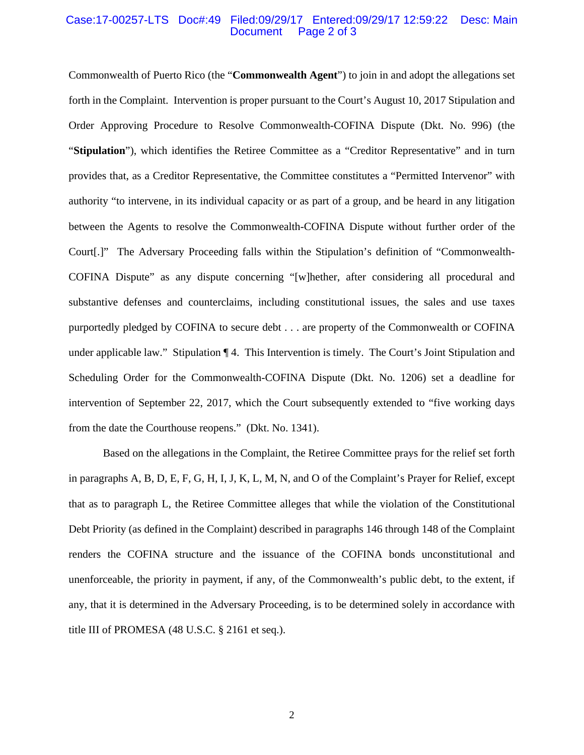#### Case:17-00257-LTS Doc#:49 Filed:09/29/17 Entered:09/29/17 12:59:22 Desc: Main Page 2 of 3

Commonwealth of Puerto Rico (the "**Commonwealth Agent**") to join in and adopt the allegations set forth in the Complaint. Intervention is proper pursuant to the Court's August 10, 2017 Stipulation and Order Approving Procedure to Resolve Commonwealth-COFINA Dispute (Dkt. No. 996) (the "**Stipulation**"), which identifies the Retiree Committee as a "Creditor Representative" and in turn provides that, as a Creditor Representative, the Committee constitutes a "Permitted Intervenor" with authority "to intervene, in its individual capacity or as part of a group, and be heard in any litigation between the Agents to resolve the Commonwealth-COFINA Dispute without further order of the Court[.]" The Adversary Proceeding falls within the Stipulation's definition of "Commonwealth-COFINA Dispute" as any dispute concerning "[w]hether, after considering all procedural and substantive defenses and counterclaims, including constitutional issues, the sales and use taxes purportedly pledged by COFINA to secure debt . . . are property of the Commonwealth or COFINA under applicable law." Stipulation ¶ 4. This Intervention is timely. The Court's Joint Stipulation and Scheduling Order for the Commonwealth-COFINA Dispute (Dkt. No. 1206) set a deadline for intervention of September 22, 2017, which the Court subsequently extended to "five working days from the date the Courthouse reopens." (Dkt. No. 1341).

 Based on the allegations in the Complaint, the Retiree Committee prays for the relief set forth in paragraphs A, B, D, E, F, G, H, I, J, K, L, M, N, and O of the Complaint's Prayer for Relief, except that as to paragraph L, the Retiree Committee alleges that while the violation of the Constitutional Debt Priority (as defined in the Complaint) described in paragraphs 146 through 148 of the Complaint renders the COFINA structure and the issuance of the COFINA bonds unconstitutional and unenforceable, the priority in payment, if any, of the Commonwealth's public debt, to the extent, if any, that it is determined in the Adversary Proceeding, is to be determined solely in accordance with title III of PROMESA (48 U.S.C. § 2161 et seq.).